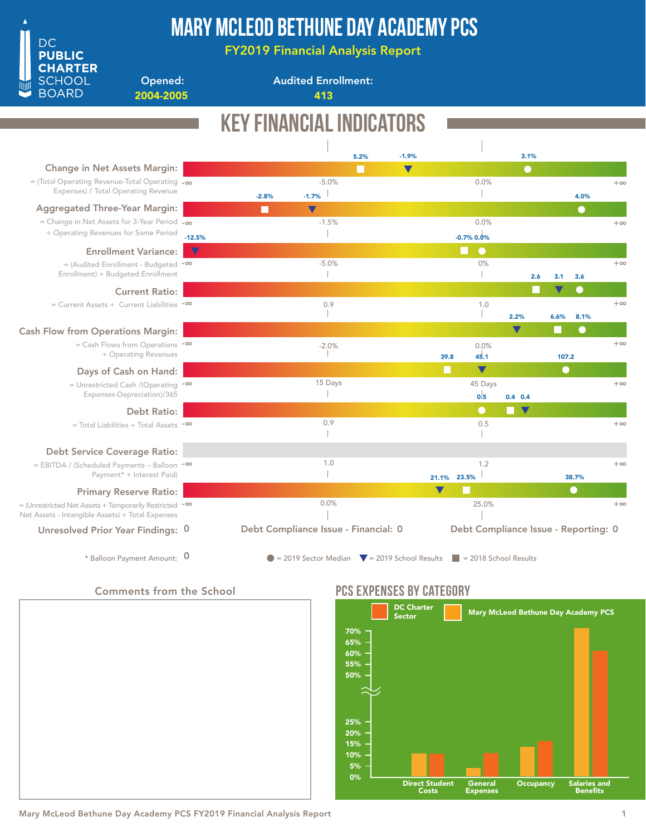

## Mary McLeod Bethune Day Academy PCS

FY2019 Financial Analysis Report

Opened: 2004-2005 413

Audited Enrollment:

|                                                                                                                         |                       | KEY FINANCIAL INDICA<br>ORS |                                                                |      |                      |                      |                                      |                      |           |            |            |
|-------------------------------------------------------------------------------------------------------------------------|-----------------------|-----------------------------|----------------------------------------------------------------|------|----------------------|----------------------|--------------------------------------|----------------------|-----------|------------|------------|
|                                                                                                                         |                       |                             |                                                                | 5.2% | $-1.9%$              |                      |                                      | 3.1%                 |           |            |            |
| Change in Net Assets Margin:                                                                                            |                       |                             |                                                                | n.   | $\blacktriangledown$ |                      |                                      | $\bullet$            |           |            |            |
| $=$ (Total Operating Revenue-Total Operating $-\infty$<br>Expenses) / Total Operating Revenue                           |                       | $-2.8%$                     | $-5.0%$<br>$-1.7%$                                             |      |                      |                      | 0.0%                                 |                      |           | 4.0%       | $+\infty$  |
| <b>Aggregated Three-Year Margin:</b>                                                                                    |                       |                             | $\blacktriangledown$                                           |      |                      |                      |                                      |                      |           | $\bullet$  |            |
| = Change in Net Assets for 3-Year Period -00<br>÷ Operating Revenues for Same Period                                    | $-12.5%$              |                             | $-1.5%$                                                        |      |                      |                      | 0.0%<br>$-0.7\%$ 0.0%                |                      |           |            | $+\infty$  |
| <b>Enrollment Variance:</b>                                                                                             | $\boldsymbol{\nabla}$ |                             |                                                                |      |                      |                      | $\bullet$<br>l I                     |                      |           |            |            |
| = (Audited Enrollment - Budgeted -∞<br>Enrollment) ÷ Budgeted Enrollment                                                |                       |                             | $-5.0%$<br>$\mathbb{R}$                                        |      |                      |                      | 0%                                   | 2.6                  | 3.1       | 3.6        | $+\infty$  |
| <b>Current Ratio:</b>                                                                                                   |                       |                             |                                                                |      |                      |                      |                                      |                      |           | Œ          |            |
| $=$ Current Assets ÷ Current Liabilities $-$ <sup>00</sup>                                                              |                       |                             | 0.9                                                            |      |                      |                      | 1.0                                  | 2.2%                 | 6.6%      | 8.1%       | $+\infty$  |
| <b>Cash Flow from Operations Margin:</b>                                                                                |                       |                             |                                                                |      |                      |                      |                                      | v                    |           | $\bigcirc$ |            |
| $=$ Cash Flows from Operations $-\infty$<br>÷ Operating Revenues                                                        |                       |                             | $-2.0%$                                                        |      |                      | 39.8                 | 0.0%<br>45.1                         |                      | 107.2     |            | $+\infty$  |
| Days of Cash on Hand:                                                                                                   |                       |                             |                                                                |      |                      | H                    | $\blacktriangledown$                 |                      | $\bullet$ |            |            |
| = Unrestricted Cash /(Operating -00<br>Expenses-Depreciation)/365                                                       |                       |                             | 15 Days                                                        |      |                      |                      | 45 Days<br>0.5                       | $0.4$ 0.4            |           |            | $+\infty$  |
| <b>Debt Ratio:</b>                                                                                                      |                       |                             |                                                                |      |                      |                      | $\bullet$                            | $\blacktriangledown$ |           |            |            |
| $=$ Total Liabilities $\div$ Total Assets $\sim$                                                                        |                       |                             | 0.9                                                            |      |                      |                      | 0.5                                  |                      |           |            | $+\infty$  |
| <b>Debt Service Coverage Ratio:</b>                                                                                     |                       |                             |                                                                |      |                      |                      |                                      |                      |           |            |            |
| = EBITDA / (Scheduled Payments - Balloon -00<br>Payment* + Interest Paid)                                               |                       |                             | 1.0                                                            |      |                      | 21.1%                | 1.2<br>23.5%                         |                      |           | 38.7%      | $+\infty$  |
| <b>Primary Reserve Ratio:</b>                                                                                           |                       |                             |                                                                |      |                      | $\blacktriangledown$ |                                      |                      |           | $\bullet$  |            |
| = (Unrestricted Net Assets + Temporarily Restricted - <sup>00</sup><br>Net Assets - Intangible Assets) ÷ Total Expenses |                       |                             | 0.0%                                                           |      |                      |                      | 25.0%                                |                      |           |            | $+ \infty$ |
| Unresolved Prior Year Findings: 0                                                                                       |                       |                             | Debt Compliance Issue - Financial: 0                           |      |                      |                      | Debt Compliance Issue - Reporting: 0 |                      |           |            |            |
| * Balloon Payment Amount: 0                                                                                             |                       |                             | $\bullet$ = 2019 Sector Median $\bullet$ = 2019 School Results |      |                      |                      | $\vert$ = 2018 School Results        |                      |           |            |            |

### Comments from the School



### PCS EXPENSES BY CATEGORY